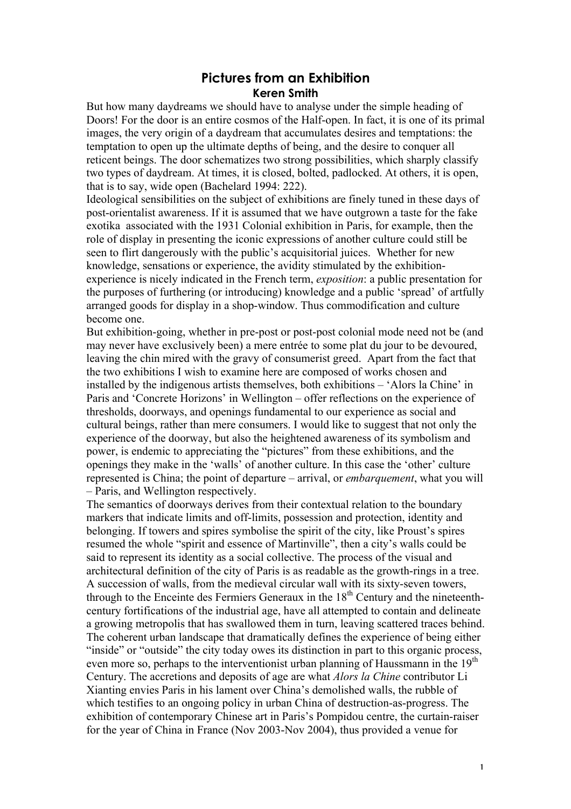## **Pictures from an Exhibition Keren Smith**

But how many daydreams we should have to analyse under the simple heading of Doors! For the door is an entire cosmos of the Half-open. In fact, it is one of its primal images, the very origin of a daydream that accumulates desires and temptations: the temptation to open up the ultimate depths of being, and the desire to conquer all reticent beings. The door schematizes two strong possibilities, which sharply classify two types of daydream. At times, it is closed, bolted, padlocked. At others, it is open, that is to say, wide open (Bachelard 1994: 222).

Ideological sensibilities on the subject of exhibitions are finely tuned in these days of post-orientalist awareness. If it is assumed that we have outgrown a taste for the fake exotika associated with the 1931 Colonial exhibition in Paris, for example, then the role of display in presenting the iconic expressions of another culture could still be seen to flirt dangerously with the public's acquisitorial juices. Whether for new knowledge, sensations or experience, the avidity stimulated by the exhibitionexperience is nicely indicated in the French term, *exposition*: a public presentation for the purposes of furthering (or introducing) knowledge and a public 'spread' of artfully arranged goods for display in a shop-window. Thus commodification and culture become one.

But exhibition-going, whether in pre-post or post-post colonial mode need not be (and may never have exclusively been) a mere entrée to some plat du jour to be devoured, leaving the chin mired with the gravy of consumerist greed. Apart from the fact that the two exhibitions I wish to examine here are composed of works chosen and installed by the indigenous artists themselves, both exhibitions – 'Alors la Chine' in Paris and 'Concrete Horizons' in Wellington – offer reflections on the experience of thresholds, doorways, and openings fundamental to our experience as social and cultural beings, rather than mere consumers. I would like to suggest that not only the experience of the doorway, but also the heightened awareness of its symbolism and power, is endemic to appreciating the "pictures" from these exhibitions, and the openings they make in the 'walls' of another culture. In this case the 'other' culture represented is China; the point of departure – arrival, or *embarquement*, what you will – Paris, and Wellington respectively.

The semantics of doorways derives from their contextual relation to the boundary markers that indicate limits and off-limits, possession and protection, identity and belonging. If towers and spires symbolise the spirit of the city, like Proust's spires resumed the whole "spirit and essence of Martinville", then a city's walls could be said to represent its identity as a social collective. The process of the visual and architectural definition of the city of Paris is as readable as the growth-rings in a tree. A succession of walls, from the medieval circular wall with its sixty-seven towers, through to the Enceinte des Fermiers Generaux in the  $18<sup>th</sup>$  Century and the nineteenthcentury fortifications of the industrial age, have all attempted to contain and delineate a growing metropolis that has swallowed them in turn, leaving scattered traces behind. The coherent urban landscape that dramatically defines the experience of being either "inside" or "outside" the city today owes its distinction in part to this organic process, even more so, perhaps to the interventionist urban planning of Haussmann in the 19<sup>th</sup> Century. The accretions and deposits of age are what *Alors la Chine* contributor Li Xianting envies Paris in his lament over China's demolished walls, the rubble of which testifies to an ongoing policy in urban China of destruction-as-progress. The exhibition of contemporary Chinese art in Paris's Pompidou centre, the curtain-raiser for the year of China in France (Nov 2003-Nov 2004), thus provided a venue for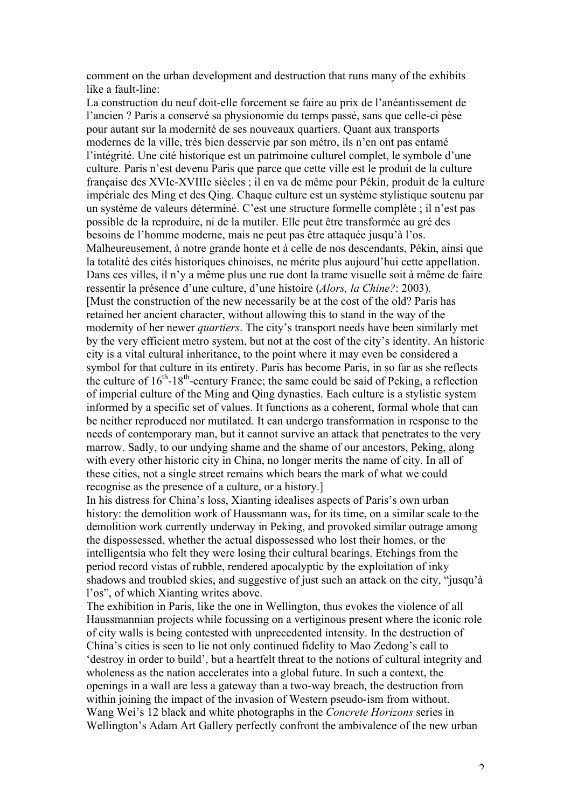comment on the urban development and destruction that runs many of the exhibits like a fault-line:

La construction du neuf doit-elle forcement se faire au prix de l'anéantissement de l'ancien ? Paris a conservé sa physionomie du temps passé, sans que celle-ci pèse pour autant sur la modernité de ses nouveaux quartiers. Quant aux transports modernes de la ville, très bien desservie par son métro, ils n'en ont pas entamé l'intégrité. Une cité historique est un patrimoine culturel complet, le symbole d'une culture. Paris n'est devenu Paris que parce que cette ville est le produit de la culture française des XVIe-XVIIIe siècles ; il en va de même pour Pékin, produit de la culture impériale des Ming et des Qing. Chaque culture est un système stylistique soutenu par un système de valeurs déterminé. C'est une structure formelle complète ; il n'est pas possible de la reproduire, ni de la mutiler. Elle peut être transformée au gré des besoins de l'homme moderne, mais ne peut pas être attaquée jusqu'à l'os. Malheureusement, à notre grande honte et à celle de nos descendants, Pékin, ainsi que la totalité des cités historiques chinoises, ne mérite plus aujourd'hui cette appellation. Dans ces villes, il n'y a même plus une rue dont la trame visuelle soit à même de faire ressentir la présence d'une culture, d'une histoire (*Alors, la Chine?*: 2003). [Must the construction of the new necessarily be at the cost of the old? Paris has retained her ancient character, without allowing this to stand in the way of the modernity of her newer *quartiers*. The city's transport needs have been similarly met by the very efficient metro system, but not at the cost of the city's identity. An historic city is a vital cultural inheritance, to the point where it may even be considered a symbol for that culture in its entirety. Paris has become Paris, in so far as she reflects the culture of  $16<sup>th</sup> - 18<sup>th</sup>$ -century France; the same could be said of Peking, a reflection of imperial culture of the Ming and Qing dynasties. Each culture is a stylistic system informed by a specific set of values. It functions as a coherent, formal whole that can be neither reproduced nor mutilated. It can undergo transformation in response to the needs of contemporary man, but it cannot survive an attack that penetrates to the very marrow. Sadly, to our undying shame and the shame of our ancestors, Peking, along with every other historic city in China, no longer merits the name of city. In all of these cities, not a single street remains which bears the mark of what we could recognise as the presence of a culture, or a history.]

In his distress for China's loss, Xianting idealises aspects of Paris's own urban history: the demolition work of Haussmann was, for its time, on a similar scale to the demolition work currently underway in Peking, and provoked similar outrage among the dispossessed, whether the actual dispossessed who lost their homes, or the intelligentsia who felt they were losing their cultural bearings. Etchings from the period record vistas of rubble, rendered apocalyptic by the exploitation of inky shadows and troubled skies, and suggestive of just such an attack on the city, "jusqu'à l'os", of which Xianting writes above.

The exhibition in Paris, like the one in Wellington, thus evokes the violence of all Haussmannian projects while focussing on a vertiginous present where the iconic role of city walls is being contested with unprecedented intensity. In the destruction of China's cities is seen to lie not only continued fidelity to Mao Zedong's call to 'destroy in order to build', but a heartfelt threat to the notions of cultural integrity and wholeness as the nation accelerates into a global future. In such a context, the openings in a wall are less a gateway than a two-way breach, the destruction from within joining the impact of the invasion of Western pseudo-ism from without. Wang Wei's 12 black and white photographs in the *Concrete Horizons* series in Wellington's Adam Art Gallery perfectly confront the ambivalence of the new urban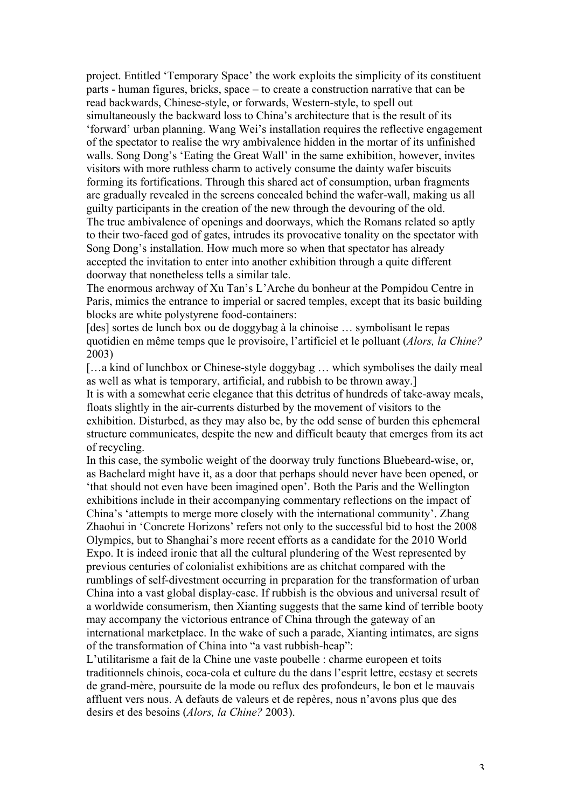project. Entitled 'Temporary Space' the work exploits the simplicity of its constituent parts - human figures, bricks, space – to create a construction narrative that can be read backwards, Chinese-style, or forwards, Western-style, to spell out simultaneously the backward loss to China's architecture that is the result of its 'forward' urban planning. Wang Wei's installation requires the reflective engagement of the spectator to realise the wry ambivalence hidden in the mortar of its unfinished walls. Song Dong's 'Eating the Great Wall' in the same exhibition, however, invites visitors with more ruthless charm to actively consume the dainty wafer biscuits forming its fortifications. Through this shared act of consumption, urban fragments are gradually revealed in the screens concealed behind the wafer-wall, making us all guilty participants in the creation of the new through the devouring of the old. The true ambivalence of openings and doorways, which the Romans related so aptly to their two-faced god of gates, intrudes its provocative tonality on the spectator with Song Dong's installation. How much more so when that spectator has already accepted the invitation to enter into another exhibition through a quite different doorway that nonetheless tells a similar tale.

The enormous archway of Xu Tan's L'Arche du bonheur at the Pompidou Centre in Paris, mimics the entrance to imperial or sacred temples, except that its basic building blocks are white polystyrene food-containers:

[des] sortes de lunch box ou de doggybag à la chinoise … symbolisant le repas quotidien en même temps que le provisoire, l'artificiel et le polluant (*Alors, la Chine?* 2003)

[...a kind of lunchbox or Chinese-style doggybag ... which symbolises the daily meal as well as what is temporary, artificial, and rubbish to be thrown away.]

It is with a somewhat eerie elegance that this detritus of hundreds of take-away meals, floats slightly in the air-currents disturbed by the movement of visitors to the exhibition. Disturbed, as they may also be, by the odd sense of burden this ephemeral structure communicates, despite the new and difficult beauty that emerges from its act of recycling.

In this case, the symbolic weight of the doorway truly functions Bluebeard-wise, or, as Bachelard might have it, as a door that perhaps should never have been opened, or 'that should not even have been imagined open'. Both the Paris and the Wellington exhibitions include in their accompanying commentary reflections on the impact of China's 'attempts to merge more closely with the international community'. Zhang Zhaohui in 'Concrete Horizons' refers not only to the successful bid to host the 2008 Olympics, but to Shanghai's more recent efforts as a candidate for the 2010 World Expo. It is indeed ironic that all the cultural plundering of the West represented by previous centuries of colonialist exhibitions are as chitchat compared with the rumblings of self-divestment occurring in preparation for the transformation of urban China into a vast global display-case. If rubbish is the obvious and universal result of a worldwide consumerism, then Xianting suggests that the same kind of terrible booty may accompany the victorious entrance of China through the gateway of an international marketplace. In the wake of such a parade, Xianting intimates, are signs of the transformation of China into "a vast rubbish-heap":

L'utilitarisme a fait de la Chine une vaste poubelle : charme europeen et toits traditionnels chinois, coca-cola et culture du the dans l'esprit lettre, ecstasy et secrets de grand-mère, poursuite de la mode ou reflux des profondeurs, le bon et le mauvais affluent vers nous. A defauts de valeurs et de repères, nous n'avons plus que des desirs et des besoins (*Alors, la Chine?* 2003).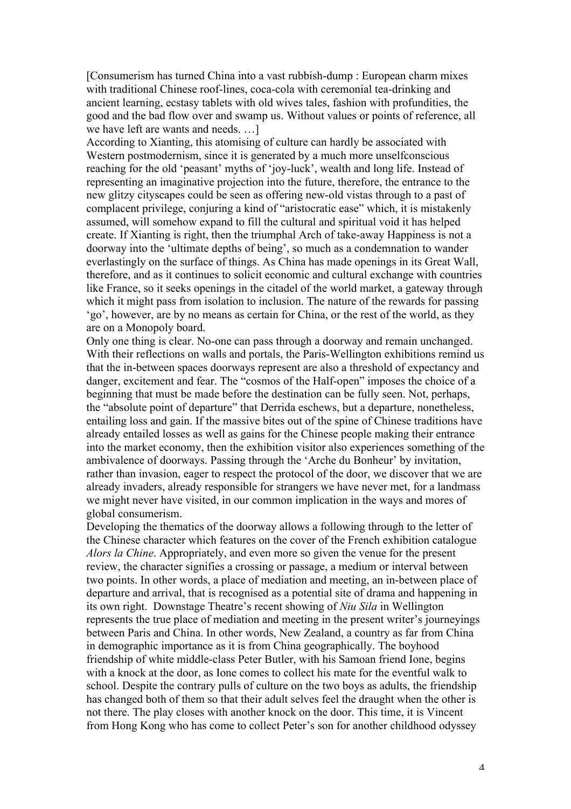[Consumerism has turned China into a vast rubbish-dump : European charm mixes with traditional Chinese roof-lines, coca-cola with ceremonial tea-drinking and ancient learning, ecstasy tablets with old wives tales, fashion with profundities, the good and the bad flow over and swamp us. Without values or points of reference, all we have left are wants and needs. …]

According to Xianting, this atomising of culture can hardly be associated with Western postmodernism, since it is generated by a much more unself conscious reaching for the old 'peasant' myths of 'joy-luck', wealth and long life. Instead of representing an imaginative projection into the future, therefore, the entrance to the new glitzy cityscapes could be seen as offering new-old vistas through to a past of complacent privilege, conjuring a kind of "aristocratic ease" which, it is mistakenly assumed, will somehow expand to fill the cultural and spiritual void it has helped create. If Xianting is right, then the triumphal Arch of take-away Happiness is not a doorway into the 'ultimate depths of being', so much as a condemnation to wander everlastingly on the surface of things. As China has made openings in its Great Wall, therefore, and as it continues to solicit economic and cultural exchange with countries like France, so it seeks openings in the citadel of the world market, a gateway through which it might pass from isolation to inclusion. The nature of the rewards for passing 'go', however, are by no means as certain for China, or the rest of the world, as they are on a Monopoly board.

Only one thing is clear. No-one can pass through a doorway and remain unchanged. With their reflections on walls and portals, the Paris-Wellington exhibitions remind us that the in-between spaces doorways represent are also a threshold of expectancy and danger, excitement and fear. The "cosmos of the Half-open" imposes the choice of a beginning that must be made before the destination can be fully seen. Not, perhaps, the "absolute point of departure" that Derrida eschews, but a departure, nonetheless, entailing loss and gain. If the massive bites out of the spine of Chinese traditions have already entailed losses as well as gains for the Chinese people making their entrance into the market economy, then the exhibition visitor also experiences something of the ambivalence of doorways. Passing through the 'Arche du Bonheur' by invitation, rather than invasion, eager to respect the protocol of the door, we discover that we are already invaders, already responsible for strangers we have never met, for a landmass we might never have visited, in our common implication in the ways and mores of global consumerism.

Developing the thematics of the doorway allows a following through to the letter of the Chinese character which features on the cover of the French exhibition catalogue *Alors la Chine*. Appropriately, and even more so given the venue for the present review, the character signifies a crossing or passage, a medium or interval between two points. In other words, a place of mediation and meeting, an in-between place of departure and arrival, that is recognised as a potential site of drama and happening in its own right. Downstage Theatre's recent showing of *Niu Sila* in Wellington represents the true place of mediation and meeting in the present writer's journeyings between Paris and China. In other words, New Zealand, a country as far from China in demographic importance as it is from China geographically. The boyhood friendship of white middle-class Peter Butler, with his Samoan friend Ione, begins with a knock at the door, as Ione comes to collect his mate for the eventful walk to school. Despite the contrary pulls of culture on the two boys as adults, the friendship has changed both of them so that their adult selves feel the draught when the other is not there. The play closes with another knock on the door. This time, it is Vincent from Hong Kong who has come to collect Peter's son for another childhood odyssey